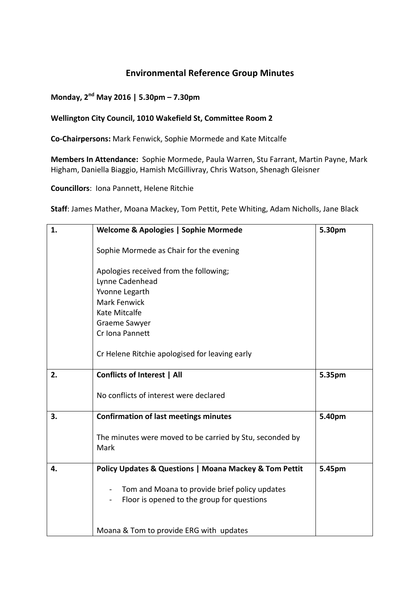### **Environmental Reference Group Minutes**

### **Monday, 2nd May 2016 | 5.30pm – 7.30pm**

#### **Wellington City Council, 1010 Wakefield St, Committee Room 2**

**Co‐Chairpersons:** Mark Fenwick, Sophie Mormede and Kate Mitcalfe

**Members In Attendance:** Sophie Mormede, Paula Warren, Stu Farrant, Martin Payne, Mark Higham, Daniella Biaggio, Hamish McGillivray, Chris Watson, Shenagh Gleisner

**Councillors**: Iona Pannett, Helene Ritchie

**Staff**: James Mather, Moana Mackey, Tom Pettit, Pete Whiting, Adam Nicholls, Jane Black

| 1. | <b>Welcome &amp; Apologies   Sophie Mormede</b>                                             | 5.30pm |
|----|---------------------------------------------------------------------------------------------|--------|
|    | Sophie Mormede as Chair for the evening                                                     |        |
|    | Apologies received from the following;                                                      |        |
|    | Lynne Cadenhead                                                                             |        |
|    | Yvonne Legarth                                                                              |        |
|    | <b>Mark Fenwick</b>                                                                         |        |
|    | Kate Mitcalfe                                                                               |        |
|    | <b>Graeme Sawyer</b>                                                                        |        |
|    | Cr Iona Pannett                                                                             |        |
|    | Cr Helene Ritchie apologised for leaving early                                              |        |
| 2. | <b>Conflicts of Interest   All</b>                                                          | 5.35pm |
|    | No conflicts of interest were declared                                                      |        |
| 3. | <b>Confirmation of last meetings minutes</b>                                                | 5.40pm |
|    | The minutes were moved to be carried by Stu, seconded by<br>Mark                            |        |
| 4. | Policy Updates & Questions   Moana Mackey & Tom Pettit                                      | 5.45pm |
|    | Tom and Moana to provide brief policy updates<br>Floor is opened to the group for questions |        |
|    | Moana & Tom to provide ERG with updates                                                     |        |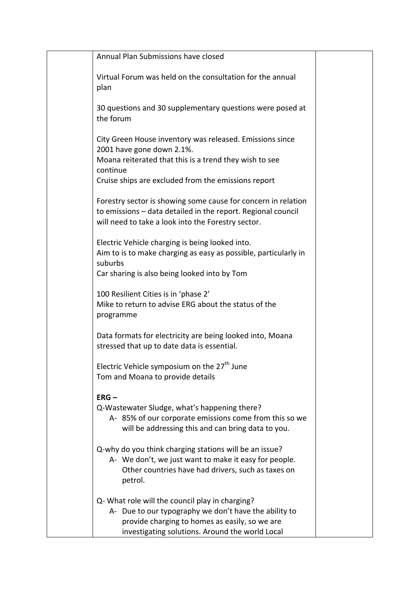| Annual Plan Submissions have closed                                                                                                                                                                                |  |
|--------------------------------------------------------------------------------------------------------------------------------------------------------------------------------------------------------------------|--|
| Virtual Forum was held on the consultation for the annual<br>plan                                                                                                                                                  |  |
| 30 questions and 30 supplementary questions were posed at<br>the forum                                                                                                                                             |  |
| City Green House inventory was released. Emissions since<br>2001 have gone down 2.1%.<br>Moana reiterated that this is a trend they wish to see<br>continue<br>Cruise ships are excluded from the emissions report |  |
| Forestry sector is showing some cause for concern in relation<br>to emissions - data detailed in the report. Regional council<br>will need to take a look into the Forestry sector.                                |  |
| Electric Vehicle charging is being looked into.<br>Aim to is to make charging as easy as possible, particularly in<br>suburbs<br>Car sharing is also being looked into by Tom                                      |  |
| 100 Resilient Cities is in 'phase 2'<br>Mike to return to advise ERG about the status of the<br>programme                                                                                                          |  |
| Data formats for electricity are being looked into, Moana<br>stressed that up to date data is essential.                                                                                                           |  |
| Electric Vehicle symposium on the 27 <sup>th</sup> June<br>Tom and Moana to provide details                                                                                                                        |  |
| $ERG -$<br>Q-Wastewater Sludge, what's happening there?<br>A-85% of our corporate emissions come from this so we<br>will be addressing this and can bring data to you.                                             |  |
| Q-why do you think charging stations will be an issue?<br>A- We don't, we just want to make it easy for people.<br>Other countries have had drivers, such as taxes on<br>petrol.                                   |  |
| Q- What role will the council play in charging?<br>A- Due to our typography we don't have the ability to<br>provide charging to homes as easily, so we are<br>investigating solutions. Around the world Local      |  |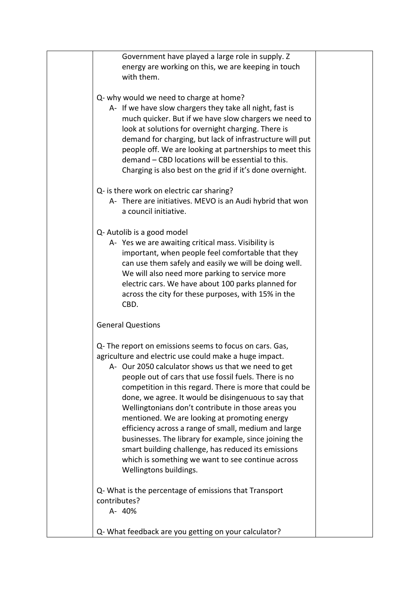| Government have played a large role in supply. Z<br>energy are working on this, we are keeping in touch<br>with them.                                                                                                                                                                                                                                                                                                                                                                                                                                                                                                                                                                                               |  |
|---------------------------------------------------------------------------------------------------------------------------------------------------------------------------------------------------------------------------------------------------------------------------------------------------------------------------------------------------------------------------------------------------------------------------------------------------------------------------------------------------------------------------------------------------------------------------------------------------------------------------------------------------------------------------------------------------------------------|--|
| Q- why would we need to charge at home?<br>A- If we have slow chargers they take all night, fast is<br>much quicker. But if we have slow chargers we need to<br>look at solutions for overnight charging. There is<br>demand for charging, but lack of infrastructure will put<br>people off. We are looking at partnerships to meet this<br>demand - CBD locations will be essential to this.<br>Charging is also best on the grid if it's done overnight.                                                                                                                                                                                                                                                         |  |
| Q- is there work on electric car sharing?<br>A- There are initiatives. MEVO is an Audi hybrid that won<br>a council initiative.                                                                                                                                                                                                                                                                                                                                                                                                                                                                                                                                                                                     |  |
| Q- Autolib is a good model<br>A- Yes we are awaiting critical mass. Visibility is<br>important, when people feel comfortable that they<br>can use them safely and easily we will be doing well.<br>We will also need more parking to service more<br>electric cars. We have about 100 parks planned for<br>across the city for these purposes, with 15% in the<br>CBD.                                                                                                                                                                                                                                                                                                                                              |  |
| <b>General Questions</b>                                                                                                                                                                                                                                                                                                                                                                                                                                                                                                                                                                                                                                                                                            |  |
| Q- The report on emissions seems to focus on cars. Gas,<br>agriculture and electric use could make a huge impact.<br>A- Our 2050 calculator shows us that we need to get<br>people out of cars that use fossil fuels. There is no<br>competition in this regard. There is more that could be<br>done, we agree. It would be disingenuous to say that<br>Wellingtonians don't contribute in those areas you<br>mentioned. We are looking at promoting energy<br>efficiency across a range of small, medium and large<br>businesses. The library for example, since joining the<br>smart building challenge, has reduced its emissions<br>which is something we want to see continue across<br>Wellingtons buildings. |  |
| Q- What is the percentage of emissions that Transport<br>contributes?<br>A- 40%                                                                                                                                                                                                                                                                                                                                                                                                                                                                                                                                                                                                                                     |  |
| Q- What feedback are you getting on your calculator?                                                                                                                                                                                                                                                                                                                                                                                                                                                                                                                                                                                                                                                                |  |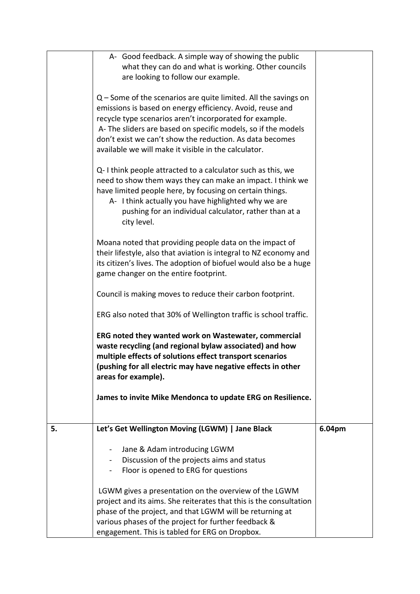|    | A- Good feedback. A simple way of showing the public                                                                                                                                                                                                                                                                                                                                                                                                                                                                                                                                                                                                                                    |        |
|----|-----------------------------------------------------------------------------------------------------------------------------------------------------------------------------------------------------------------------------------------------------------------------------------------------------------------------------------------------------------------------------------------------------------------------------------------------------------------------------------------------------------------------------------------------------------------------------------------------------------------------------------------------------------------------------------------|--------|
|    | what they can do and what is working. Other councils                                                                                                                                                                                                                                                                                                                                                                                                                                                                                                                                                                                                                                    |        |
|    | are looking to follow our example.                                                                                                                                                                                                                                                                                                                                                                                                                                                                                                                                                                                                                                                      |        |
|    | $Q$ – Some of the scenarios are quite limited. All the savings on<br>emissions is based on energy efficiency. Avoid, reuse and<br>recycle type scenarios aren't incorporated for example.<br>A-The sliders are based on specific models, so if the models<br>don't exist we can't show the reduction. As data becomes<br>available we will make it visible in the calculator.<br>Q-I think people attracted to a calculator such as this, we<br>need to show them ways they can make an impact. I think we<br>have limited people here, by focusing on certain things.<br>A- I think actually you have highlighted why we are<br>pushing for an individual calculator, rather than at a |        |
|    | city level.                                                                                                                                                                                                                                                                                                                                                                                                                                                                                                                                                                                                                                                                             |        |
|    | Moana noted that providing people data on the impact of<br>their lifestyle, also that aviation is integral to NZ economy and<br>its citizen's lives. The adoption of biofuel would also be a huge<br>game changer on the entire footprint.                                                                                                                                                                                                                                                                                                                                                                                                                                              |        |
|    | Council is making moves to reduce their carbon footprint.                                                                                                                                                                                                                                                                                                                                                                                                                                                                                                                                                                                                                               |        |
|    | ERG also noted that 30% of Wellington traffic is school traffic.                                                                                                                                                                                                                                                                                                                                                                                                                                                                                                                                                                                                                        |        |
|    | ERG noted they wanted work on Wastewater, commercial<br>waste recycling (and regional bylaw associated) and how<br>multiple effects of solutions effect transport scenarios<br>(pushing for all electric may have negative effects in other<br>areas for example).                                                                                                                                                                                                                                                                                                                                                                                                                      |        |
|    | James to invite Mike Mendonca to update ERG on Resilience.                                                                                                                                                                                                                                                                                                                                                                                                                                                                                                                                                                                                                              |        |
|    |                                                                                                                                                                                                                                                                                                                                                                                                                                                                                                                                                                                                                                                                                         |        |
|    |                                                                                                                                                                                                                                                                                                                                                                                                                                                                                                                                                                                                                                                                                         |        |
| 5. | Let's Get Wellington Moving (LGWM)   Jane Black                                                                                                                                                                                                                                                                                                                                                                                                                                                                                                                                                                                                                                         | 6.04pm |
|    |                                                                                                                                                                                                                                                                                                                                                                                                                                                                                                                                                                                                                                                                                         |        |
|    | Jane & Adam introducing LGWM<br>Discussion of the projects aims and status                                                                                                                                                                                                                                                                                                                                                                                                                                                                                                                                                                                                              |        |
|    | Floor is opened to ERG for questions                                                                                                                                                                                                                                                                                                                                                                                                                                                                                                                                                                                                                                                    |        |
|    |                                                                                                                                                                                                                                                                                                                                                                                                                                                                                                                                                                                                                                                                                         |        |
|    | LGWM gives a presentation on the overview of the LGWM                                                                                                                                                                                                                                                                                                                                                                                                                                                                                                                                                                                                                                   |        |
|    | project and its aims. She reiterates that this is the consultation                                                                                                                                                                                                                                                                                                                                                                                                                                                                                                                                                                                                                      |        |
|    | phase of the project, and that LGWM will be returning at                                                                                                                                                                                                                                                                                                                                                                                                                                                                                                                                                                                                                                |        |
|    | various phases of the project for further feedback &                                                                                                                                                                                                                                                                                                                                                                                                                                                                                                                                                                                                                                    |        |
|    | engagement. This is tabled for ERG on Dropbox.                                                                                                                                                                                                                                                                                                                                                                                                                                                                                                                                                                                                                                          |        |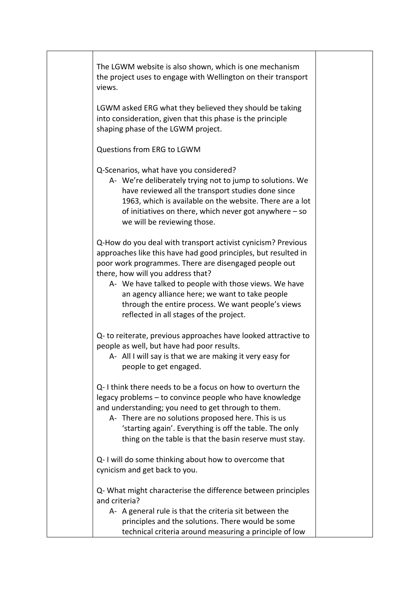|  | The LGWM website is also shown, which is one mechanism<br>the project uses to engage with Wellington on their transport<br>views.                                                                                                                                                                                                                                                                                                         |  |
|--|-------------------------------------------------------------------------------------------------------------------------------------------------------------------------------------------------------------------------------------------------------------------------------------------------------------------------------------------------------------------------------------------------------------------------------------------|--|
|  | LGWM asked ERG what they believed they should be taking<br>into consideration, given that this phase is the principle<br>shaping phase of the LGWM project.                                                                                                                                                                                                                                                                               |  |
|  | Questions from ERG to LGWM                                                                                                                                                                                                                                                                                                                                                                                                                |  |
|  | Q-Scenarios, what have you considered?<br>A- We're deliberately trying not to jump to solutions. We<br>have reviewed all the transport studies done since<br>1963, which is available on the website. There are a lot<br>of initiatives on there, which never got anywhere $-$ so<br>we will be reviewing those.                                                                                                                          |  |
|  | Q-How do you deal with transport activist cynicism? Previous<br>approaches like this have had good principles, but resulted in<br>poor work programmes. There are disengaged people out<br>there, how will you address that?<br>A- We have talked to people with those views. We have<br>an agency alliance here; we want to take people<br>through the entire process. We want people's views<br>reflected in all stages of the project. |  |
|  | Q- to reiterate, previous approaches have looked attractive to<br>people as well, but have had poor results.<br>A- All I will say is that we are making it very easy for<br>people to get engaged.                                                                                                                                                                                                                                        |  |
|  | Q-I think there needs to be a focus on how to overturn the<br>legacy problems - to convince people who have knowledge<br>and understanding; you need to get through to them.<br>A- There are no solutions proposed here. This is us<br>'starting again'. Everything is off the table. The only<br>thing on the table is that the basin reserve must stay.                                                                                 |  |
|  | Q-I will do some thinking about how to overcome that<br>cynicism and get back to you.                                                                                                                                                                                                                                                                                                                                                     |  |
|  | Q- What might characterise the difference between principles<br>and criteria?<br>A- A general rule is that the criteria sit between the<br>principles and the solutions. There would be some                                                                                                                                                                                                                                              |  |
|  | technical criteria around measuring a principle of low                                                                                                                                                                                                                                                                                                                                                                                    |  |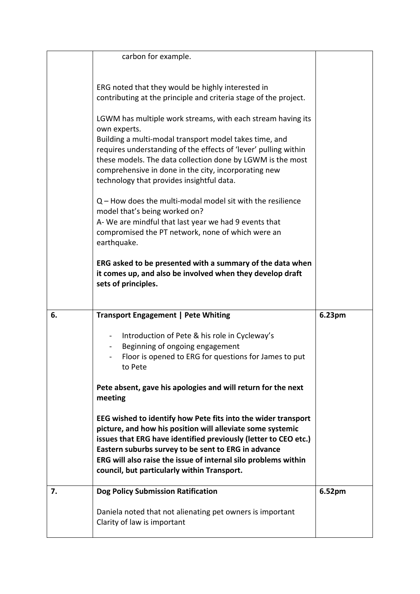|    | carbon for example.                                                                                                                                                                                                                                                                                                                                                    |        |
|----|------------------------------------------------------------------------------------------------------------------------------------------------------------------------------------------------------------------------------------------------------------------------------------------------------------------------------------------------------------------------|--------|
|    | ERG noted that they would be highly interested in<br>contributing at the principle and criteria stage of the project.                                                                                                                                                                                                                                                  |        |
|    | LGWM has multiple work streams, with each stream having its<br>own experts.                                                                                                                                                                                                                                                                                            |        |
|    | Building a multi-modal transport model takes time, and<br>requires understanding of the effects of 'lever' pulling within<br>these models. The data collection done by LGWM is the most<br>comprehensive in done in the city, incorporating new<br>technology that provides insightful data.                                                                           |        |
|    | $Q$ – How does the multi-modal model sit with the resilience<br>model that's being worked on?<br>A-We are mindful that last year we had 9 events that<br>compromised the PT network, none of which were an<br>earthquake.                                                                                                                                              |        |
|    | ERG asked to be presented with a summary of the data when<br>it comes up, and also be involved when they develop draft<br>sets of principles.                                                                                                                                                                                                                          |        |
|    |                                                                                                                                                                                                                                                                                                                                                                        |        |
| 6. | <b>Transport Engagement   Pete Whiting</b>                                                                                                                                                                                                                                                                                                                             | 6.23pm |
|    | Introduction of Pete & his role in Cycleway's<br>Beginning of ongoing engagement<br>Floor is opened to ERG for questions for James to put<br>to Pete                                                                                                                                                                                                                   |        |
|    | Pete absent, gave his apologies and will return for the next<br>meeting                                                                                                                                                                                                                                                                                                |        |
|    | EEG wished to identify how Pete fits into the wider transport<br>picture, and how his position will alleviate some systemic<br>issues that ERG have identified previously (letter to CEO etc.)<br>Eastern suburbs survey to be sent to ERG in advance<br>ERG will also raise the issue of internal silo problems within<br>council, but particularly within Transport. |        |
| 7. | <b>Dog Policy Submission Ratification</b>                                                                                                                                                                                                                                                                                                                              | 6.52pm |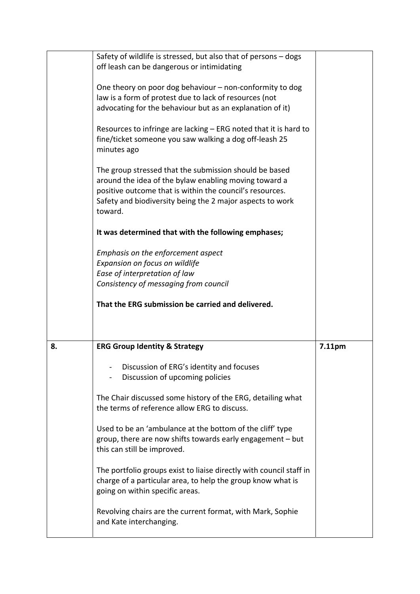|    | Safety of wildlife is stressed, but also that of persons - dogs<br>off leash can be dangerous or intimidating<br>One theory on poor dog behaviour - non-conformity to dog<br>law is a form of protest due to lack of resources (not<br>advocating for the behaviour but as an explanation of it)<br>Resources to infringe are lacking – ERG noted that it is hard to<br>fine/ticket someone you saw walking a dog off-leash 25<br>minutes ago<br>The group stressed that the submission should be based<br>around the idea of the bylaw enabling moving toward a<br>positive outcome that is within the council's resources.<br>Safety and biodiversity being the 2 major aspects to work<br>toward.<br>It was determined that with the following emphases;<br>Emphasis on the enforcement aspect<br>Expansion on focus on wildlife<br>Ease of interpretation of law<br>Consistency of messaging from council<br>That the ERG submission be carried and delivered. |        |
|----|--------------------------------------------------------------------------------------------------------------------------------------------------------------------------------------------------------------------------------------------------------------------------------------------------------------------------------------------------------------------------------------------------------------------------------------------------------------------------------------------------------------------------------------------------------------------------------------------------------------------------------------------------------------------------------------------------------------------------------------------------------------------------------------------------------------------------------------------------------------------------------------------------------------------------------------------------------------------|--------|
| 8. | <b>ERG Group Identity &amp; Strategy</b><br>Discussion of ERG's identity and focuses<br>Discussion of upcoming policies<br>The Chair discussed some history of the ERG, detailing what<br>the terms of reference allow ERG to discuss.<br>Used to be an 'ambulance at the bottom of the cliff' type<br>group, there are now shifts towards early engagement - but<br>this can still be improved.<br>The portfolio groups exist to liaise directly with council staff in<br>charge of a particular area, to help the group know what is<br>going on within specific areas.<br>Revolving chairs are the current format, with Mark, Sophie<br>and Kate interchanging.                                                                                                                                                                                                                                                                                                 | 7.11pm |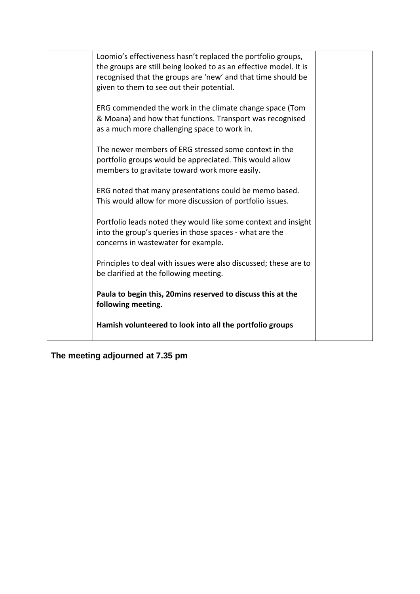| Loomio's effectiveness hasn't replaced the portfolio groups,<br>the groups are still being looked to as an effective model. It is<br>recognised that the groups are 'new' and that time should be<br>given to them to see out their potential. |  |
|------------------------------------------------------------------------------------------------------------------------------------------------------------------------------------------------------------------------------------------------|--|
| ERG commended the work in the climate change space (Tom<br>& Moana) and how that functions. Transport was recognised<br>as a much more challenging space to work in.                                                                           |  |
| The newer members of ERG stressed some context in the<br>portfolio groups would be appreciated. This would allow<br>members to gravitate toward work more easily.                                                                              |  |
| ERG noted that many presentations could be memo based.<br>This would allow for more discussion of portfolio issues.                                                                                                                            |  |
| Portfolio leads noted they would like some context and insight<br>into the group's queries in those spaces - what are the<br>concerns in wastewater for example.                                                                               |  |
| Principles to deal with issues were also discussed; these are to<br>be clarified at the following meeting.                                                                                                                                     |  |
| Paula to begin this, 20 mins reserved to discuss this at the<br>following meeting.                                                                                                                                                             |  |
| Hamish volunteered to look into all the portfolio groups                                                                                                                                                                                       |  |

**The meeting adjourned at 7.35 pm**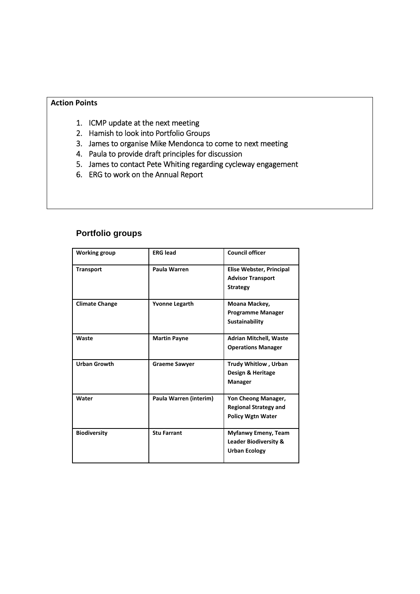#### **Action Points**

- 1. ICMP update at the next meeting
- 2. Hamish to look into Portfolio Groups
- 3. James to organise Mike Mendonca to come to next meeting
- 4. Paula to provide draft principles for discussion
- 5. James to contact Pete Whiting regarding cycleway engagement
- 6. ERG to work on the Annual Report

| <b>Working group</b>  | <b>ERG lead</b>        | <b>Council officer</b>                                                          |
|-----------------------|------------------------|---------------------------------------------------------------------------------|
| <b>Transport</b>      | Paula Warren           | Elise Webster, Principal<br><b>Advisor Transport</b><br><b>Strategy</b>         |
| <b>Climate Change</b> | <b>Yvonne Legarth</b>  | Moana Mackey,<br><b>Programme Manager</b><br>Sustainability                     |
| Waste                 | <b>Martin Payne</b>    | <b>Adrian Mitchell, Waste</b><br><b>Operations Manager</b>                      |
| <b>Urban Growth</b>   | <b>Graeme Sawyer</b>   | <b>Trudy Whitlow, Urban</b><br>Design & Heritage<br><b>Manager</b>              |
| Water                 | Paula Warren (interim) | Yon Cheong Manager,<br><b>Regional Strategy and</b><br><b>Policy Wgtn Water</b> |
| <b>Biodiversity</b>   | <b>Stu Farrant</b>     | Myfanwy Emeny, Team<br><b>Leader Biodiversity &amp;</b><br><b>Urban Ecology</b> |

# **Portfolio groups**